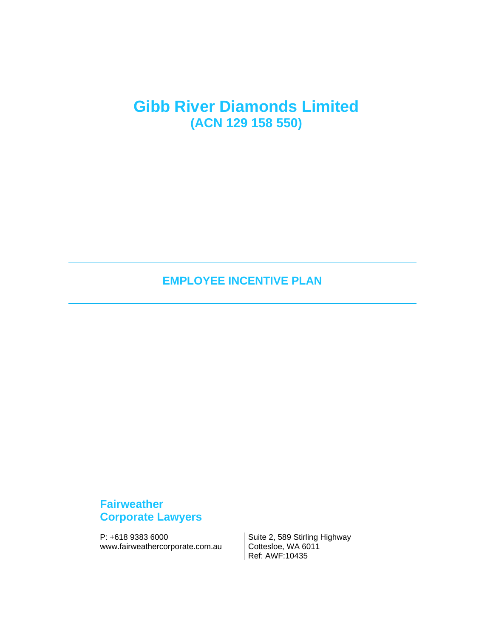# **Gibb River Diamonds Limited (ACN 129 158 550)**

**EMPLOYEE INCENTIVE PLAN**

## **Fairweather Corporate Lawyers**

P: +618 9383 6000<br>www.fairweathercorporate.com.au Cottesloe, WA 6011 www.fairweathercorporate.com.au

Ref: AWF:10435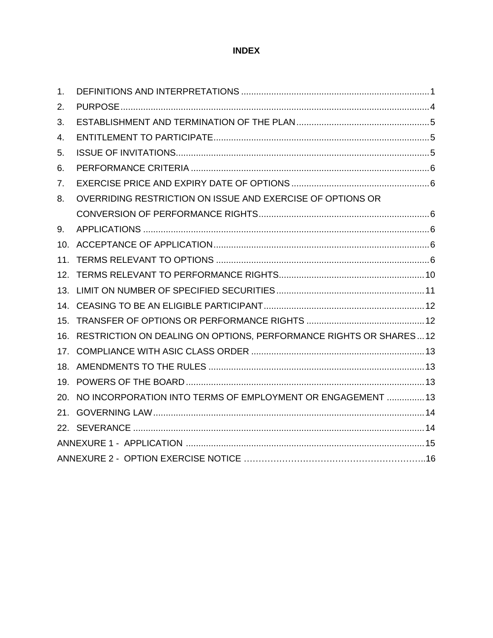## **INDEX**

| 1 <sub>1</sub> |                                                                       |  |  |
|----------------|-----------------------------------------------------------------------|--|--|
| 2.             |                                                                       |  |  |
| 3.             |                                                                       |  |  |
| 4.             |                                                                       |  |  |
| 5.             |                                                                       |  |  |
| 6.             |                                                                       |  |  |
| 7.             |                                                                       |  |  |
| 8.             | OVERRIDING RESTRICTION ON ISSUE AND EXERCISE OF OPTIONS OR            |  |  |
|                |                                                                       |  |  |
| 9.             |                                                                       |  |  |
|                |                                                                       |  |  |
| 11.            |                                                                       |  |  |
|                |                                                                       |  |  |
| 13.            |                                                                       |  |  |
|                |                                                                       |  |  |
|                |                                                                       |  |  |
|                | 16. RESTRICTION ON DEALING ON OPTIONS, PERFORMANCE RIGHTS OR SHARES12 |  |  |
|                |                                                                       |  |  |
|                |                                                                       |  |  |
|                |                                                                       |  |  |
|                | 20. NO INCORPORATION INTO TERMS OF EMPLOYMENT OR ENGAGEMENT  13       |  |  |
|                |                                                                       |  |  |
|                |                                                                       |  |  |
|                |                                                                       |  |  |
|                |                                                                       |  |  |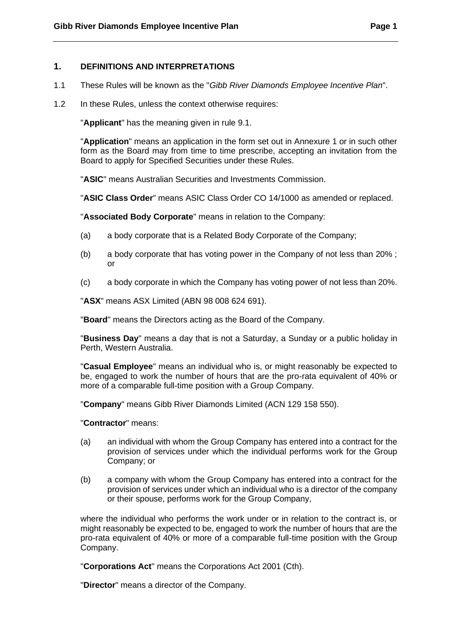## <span id="page-2-0"></span>**1. DEFINITIONS AND INTERPRETATIONS**

- 1.1 These Rules will be known as the "*Gibb River Diamonds Employee Incentive Plan*".
- 1.2 In these Rules, unless the context otherwise requires:

"**Applicant**" has the meaning given in rule 9.1.

"**Application**" means an application in the form set out in Annexure 1 or in such other form as the Board may from time to time prescribe, accepting an invitation from the Board to apply for Specified Securities under these Rules.

"**ASIC**" means Australian Securities and Investments Commission.

"**ASIC Class Order**" means ASIC Class Order CO 14/1000 as amended or replaced.

"**Associated Body Corporate**" means in relation to the Company:

- (a) a body corporate that is a Related Body Corporate of the Company;
- (b) a body corporate that has voting power in the Company of not less than 20% ; or
- (c) a body corporate in which the Company has voting power of not less than 20%.

"**ASX**" means ASX Limited (ABN 98 008 624 691).

"**Board**" means the Directors acting as the Board of the Company.

"**Business Day**" means a day that is not a Saturday, a Sunday or a public holiday in Perth, Western Australia.

"**Casual Employee**" means an individual who is, or might reasonably be expected to be, engaged to work the number of hours that are the pro-rata equivalent of 40% or more of a comparable full-time position with a Group Company.

"**Company**" means Gibb River Diamonds Limited (ACN 129 158 550).

"**Contractor**" means:

- (a) an individual with whom the Group Company has entered into a contract for the provision of services under which the individual performs work for the Group Company; or
- (b) a company with whom the Group Company has entered into a contract for the provision of services under which an individual who is a director of the company or their spouse, performs work for the Group Company,

where the individual who performs the work under or in relation to the contract is, or might reasonably be expected to be, engaged to work the number of hours that are the pro-rata equivalent of 40% or more of a comparable full-time position with the Group Company.

"**Corporations Act**" means the Corporations Act 2001 (Cth).

"**Director**" means a director of the Company.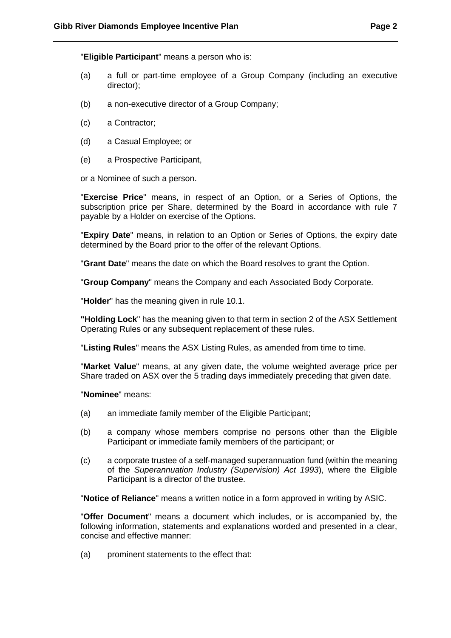"**Eligible Participant**" means a person who is:

- (a) a full or part-time employee of a Group Company (including an executive director);
- (b) a non-executive director of a Group Company;
- (c) a Contractor;
- (d) a Casual Employee; or
- (e) a Prospective Participant,

or a Nominee of such a person.

"**Exercise Price**" means, in respect of an Option, or a Series of Options, the subscription price per Share, determined by the Board in accordance with rule 7 payable by a Holder on exercise of the Options.

"**Expiry Date**" means, in relation to an Option or Series of Options, the expiry date determined by the Board prior to the offer of the relevant Options.

"**Grant Date**" means the date on which the Board resolves to grant the Option.

"**Group Company**" means the Company and each Associated Body Corporate.

"**Holder**" has the meaning given in rule 10.1.

**"Holding Lock**" has the meaning given to that term in section 2 of the ASX Settlement Operating Rules or any subsequent replacement of these rules.

"**Listing Rules**" means the ASX Listing Rules, as amended from time to time.

"**Market Value**" means, at any given date, the volume weighted average price per Share traded on ASX over the 5 trading days immediately preceding that given date.

"**Nominee**" means:

- (a) an immediate family member of the Eligible Participant;
- (b) a company whose members comprise no persons other than the Eligible Participant or immediate family members of the participant; or
- (c) a corporate trustee of a self-managed superannuation fund (within the meaning of the *Superannuation Industry (Supervision) Act 1993*), where the Eligible Participant is a director of the trustee.

"**Notice of Reliance**" means a written notice in a form approved in writing by ASIC.

"**Offer Document**" means a document which includes, or is accompanied by, the following information, statements and explanations worded and presented in a clear, concise and effective manner:

(a) prominent statements to the effect that: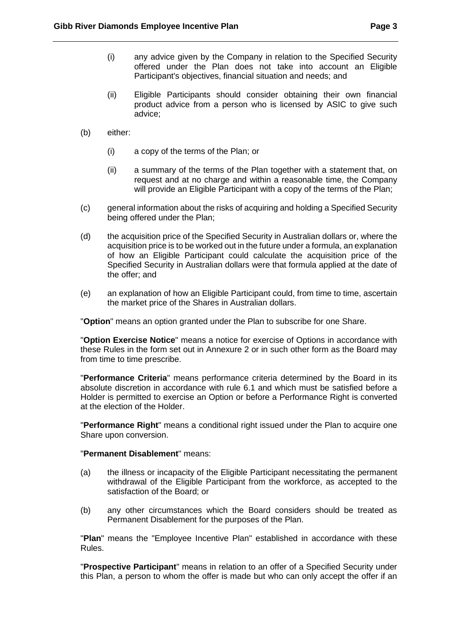- (i) any advice given by the Company in relation to the Specified Security offered under the Plan does not take into account an Eligible Participant's objectives, financial situation and needs; and
- (ii) Eligible Participants should consider obtaining their own financial product advice from a person who is licensed by ASIC to give such advice;
- (b) either:
	- (i) a copy of the terms of the Plan; or
	- (ii) a summary of the terms of the Plan together with a statement that, on request and at no charge and within a reasonable time, the Company will provide an Eligible Participant with a copy of the terms of the Plan;
- (c) general information about the risks of acquiring and holding a Specified Security being offered under the Plan;
- (d) the acquisition price of the Specified Security in Australian dollars or, where the acquisition price is to be worked out in the future under a formula, an explanation of how an Eligible Participant could calculate the acquisition price of the Specified Security in Australian dollars were that formula applied at the date of the offer; and
- (e) an explanation of how an Eligible Participant could, from time to time, ascertain the market price of the Shares in Australian dollars.

"**Option**" means an option granted under the Plan to subscribe for one Share.

"**Option Exercise Notice**" means a notice for exercise of Options in accordance with these Rules in the form set out in Annexure 2 or in such other form as the Board may from time to time prescribe.

"**Performance Criteria**" means performance criteria determined by the Board in its absolute discretion in accordance with rule 6.1 and which must be satisfied before a Holder is permitted to exercise an Option or before a Performance Right is converted at the election of the Holder.

"**Performance Right**" means a conditional right issued under the Plan to acquire one Share upon conversion.

#### "**Permanent Disablement**" means:

- (a) the illness or incapacity of the Eligible Participant necessitating the permanent withdrawal of the Eligible Participant from the workforce, as accepted to the satisfaction of the Board; or
- (b) any other circumstances which the Board considers should be treated as Permanent Disablement for the purposes of the Plan.

"**Plan**" means the "Employee Incentive Plan" established in accordance with these Rules.

"**Prospective Participant**" means in relation to an offer of a Specified Security under this Plan, a person to whom the offer is made but who can only accept the offer if an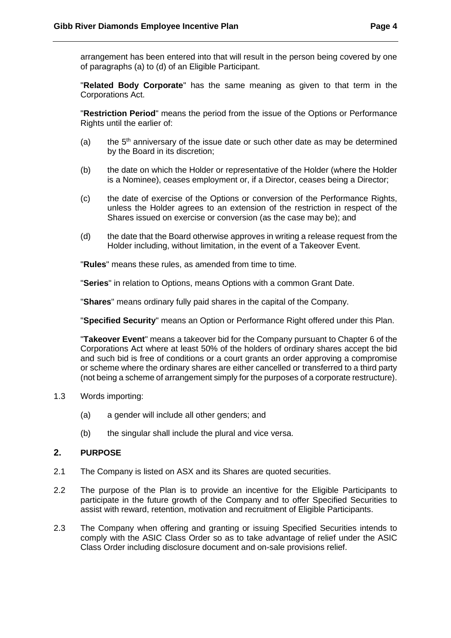arrangement has been entered into that will result in the person being covered by one of paragraphs (a) to (d) of an Eligible Participant.

"**Related Body Corporate**" has the same meaning as given to that term in the Corporations Act.

"**Restriction Period**" means the period from the issue of the Options or Performance Rights until the earlier of:

- (a) the  $5<sup>th</sup>$  anniversary of the issue date or such other date as may be determined by the Board in its discretion;
- (b) the date on which the Holder or representative of the Holder (where the Holder is a Nominee), ceases employment or, if a Director, ceases being a Director;
- (c) the date of exercise of the Options or conversion of the Performance Rights, unless the Holder agrees to an extension of the restriction in respect of the Shares issued on exercise or conversion (as the case may be); and
- (d) the date that the Board otherwise approves in writing a release request from the Holder including, without limitation, in the event of a Takeover Event.

"**Rules**" means these rules, as amended from time to time.

"**Series**" in relation to Options, means Options with a common Grant Date.

"**Shares**" means ordinary fully paid shares in the capital of the Company.

"**Specified Security**" means an Option or Performance Right offered under this Plan.

"**Takeover Event**" means a takeover bid for the Company pursuant to Chapter 6 of the Corporations Act where at least 50% of the holders of ordinary shares accept the bid and such bid is free of conditions or a court grants an order approving a compromise or scheme where the ordinary shares are either cancelled or transferred to a third party (not being a scheme of arrangement simply for the purposes of a corporate restructure).

- <span id="page-5-0"></span>1.3 Words importing:
	- (a) a gender will include all other genders; and
	- (b) the singular shall include the plural and vice versa.

#### **2. PURPOSE**

- 2.1 The Company is listed on ASX and its Shares are quoted securities.
- 2.2 The purpose of the Plan is to provide an incentive for the Eligible Participants to participate in the future growth of the Company and to offer Specified Securities to assist with reward, retention, motivation and recruitment of Eligible Participants.
- 2.3 The Company when offering and granting or issuing Specified Securities intends to comply with the ASIC Class Order so as to take advantage of relief under the ASIC Class Order including disclosure document and on-sale provisions relief.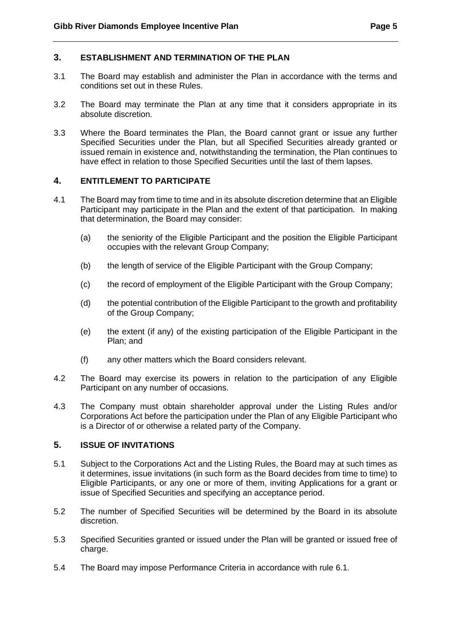## <span id="page-6-0"></span>**3. ESTABLISHMENT AND TERMINATION OF THE PLAN**

- 3.1 The Board may establish and administer the Plan in accordance with the terms and conditions set out in these Rules.
- 3.2 The Board may terminate the Plan at any time that it considers appropriate in its absolute discretion.
- <span id="page-6-1"></span>3.3 Where the Board terminates the Plan, the Board cannot grant or issue any further Specified Securities under the Plan, but all Specified Securities already granted or issued remain in existence and, notwithstanding the termination, the Plan continues to have effect in relation to those Specified Securities until the last of them lapses.

## **4. ENTITLEMENT TO PARTICIPATE**

- 4.1 The Board may from time to time and in its absolute discretion determine that an Eligible Participant may participate in the Plan and the extent of that participation. In making that determination, the Board may consider:
	- (a) the seniority of the Eligible Participant and the position the Eligible Participant occupies with the relevant Group Company;
	- (b) the length of service of the Eligible Participant with the Group Company;
	- (c) the record of employment of the Eligible Participant with the Group Company;
	- (d) the potential contribution of the Eligible Participant to the growth and profitability of the Group Company;
	- (e) the extent (if any) of the existing participation of the Eligible Participant in the Plan; and
	- (f) any other matters which the Board considers relevant.
- 4.2 The Board may exercise its powers in relation to the participation of any Eligible Participant on any number of occasions.
- <span id="page-6-2"></span>4.3 The Company must obtain shareholder approval under the Listing Rules and/or Corporations Act before the participation under the Plan of any Eligible Participant who is a Director of or otherwise a related party of the Company.

## **5. ISSUE OF INVITATIONS**

- 5.1 Subject to the Corporations Act and the Listing Rules, the Board may at such times as it determines, issue invitations (in such form as the Board decides from time to time) to Eligible Participants, or any one or more of them, inviting Applications for a grant or issue of Specified Securities and specifying an acceptance period.
- 5.2 The number of Specified Securities will be determined by the Board in its absolute discretion.
- 5.3 Specified Securities granted or issued under the Plan will be granted or issued free of charge.
- 5.4 The Board may impose Performance Criteria in accordance with rule [6.1.](#page-7-6)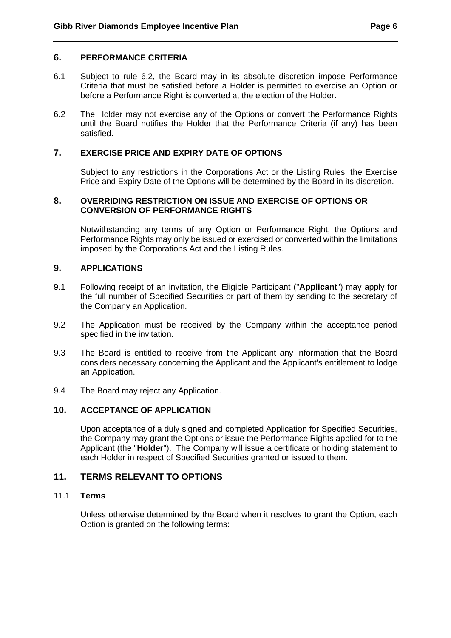#### <span id="page-7-0"></span>**6. PERFORMANCE CRITERIA**

- <span id="page-7-6"></span>6.1 Subject to rule 6.2, the Board may in its absolute discretion impose Performance Criteria that must be satisfied before a Holder is permitted to exercise an Option or before a Performance Right is converted at the election of the Holder.
- <span id="page-7-1"></span>6.2 The Holder may not exercise any of the Options or convert the Performance Rights until the Board notifies the Holder that the Performance Criteria (if any) has been satisfied.

## <span id="page-7-2"></span>**7. EXERCISE PRICE AND EXPIRY DATE OF OPTIONS**

Subject to any restrictions in the Corporations Act or the Listing Rules, the Exercise Price and Expiry Date of the Options will be determined by the Board in its discretion.

## <span id="page-7-3"></span>**8. OVERRIDING RESTRICTION ON ISSUE AND EXERCISE OF OPTIONS OR CONVERSION OF PERFORMANCE RIGHTS**

Notwithstanding any terms of any Option or Performance Right, the Options and Performance Rights may only be issued or exercised or converted within the limitations imposed by the Corporations Act and the Listing Rules.

## **9. APPLICATIONS**

- 9.1 Following receipt of an invitation, the Eligible Participant ("**Applicant**") may apply for the full number of Specified Securities or part of them by sending to the secretary of the Company an Application.
- 9.2 The Application must be received by the Company within the acceptance period specified in the invitation.
- <span id="page-7-4"></span>9.3 The Board is entitled to receive from the Applicant any information that the Board considers necessary concerning the Applicant and the Applicant's entitlement to lodge an Application.
- 9.4 The Board may reject any Application.

## <span id="page-7-5"></span>**10. ACCEPTANCE OF APPLICATION**

Upon acceptance of a duly signed and completed Application for Specified Securities, the Company may grant the Options or issue the Performance Rights applied for to the Applicant (the "**Holder**"). The Company will issue a certificate or holding statement to each Holder in respect of Specified Securities granted or issued to them.

## **11. TERMS RELEVANT TO OPTIONS**

## 11.1 **Terms**

Unless otherwise determined by the Board when it resolves to grant the Option, each Option is granted on the following terms: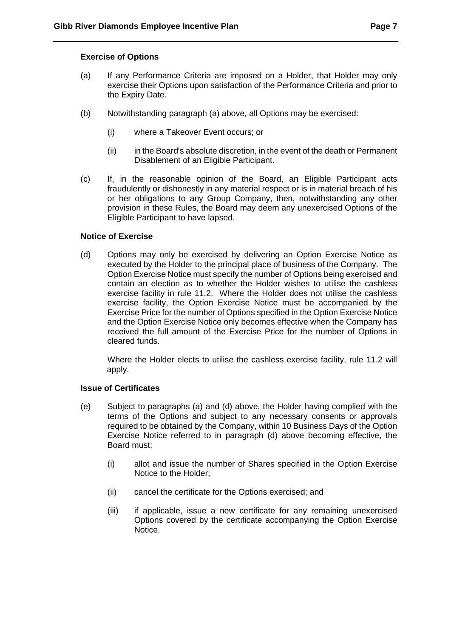#### **Exercise of Options**

- (a) If any Performance Criteria are imposed on a Holder, that Holder may only exercise their Options upon satisfaction of the Performance Criteria and prior to the Expiry Date.
- (b) Notwithstanding paragraph (a) above, all Options may be exercised:
	- (i) where a Takeover Event occurs; or
	- (ii) in the Board's absolute discretion, in the event of the death or Permanent Disablement of an Eligible Participant.
- (c) If, in the reasonable opinion of the Board, an Eligible Participant acts fraudulently or dishonestly in any material respect or is in material breach of his or her obligations to any Group Company, then, notwithstanding any other provision in these Rules, the Board may deem any unexercised Options of the Eligible Participant to have lapsed.

## **Notice of Exercise**

(d) Options may only be exercised by delivering an Option Exercise Notice as executed by the Holder to the principal place of business of the Company. The Option Exercise Notice must specify the number of Options being exercised and contain an election as to whether the Holder wishes to utilise the cashless exercise facility in rule 11.2. Where the Holder does not utilise the cashless exercise facility, the Option Exercise Notice must be accompanied by the Exercise Price for the number of Options specified in the Option Exercise Notice and the Option Exercise Notice only becomes effective when the Company has received the full amount of the Exercise Price for the number of Options in cleared funds.

Where the Holder elects to utilise the cashless exercise facility, rule 11.2 will apply.

## **Issue of Certificates**

- (e) Subject to paragraphs (a) and (d) above, the Holder having complied with the terms of the Options and subject to any necessary consents or approvals required to be obtained by the Company, within 10 Business Days of the Option Exercise Notice referred to in paragraph (d) above becoming effective, the Board must:
	- (i) allot and issue the number of Shares specified in the Option Exercise Notice to the Holder;
	- (ii) cancel the certificate for the Options exercised; and
	- (iii) if applicable, issue a new certificate for any remaining unexercised Options covered by the certificate accompanying the Option Exercise Notice.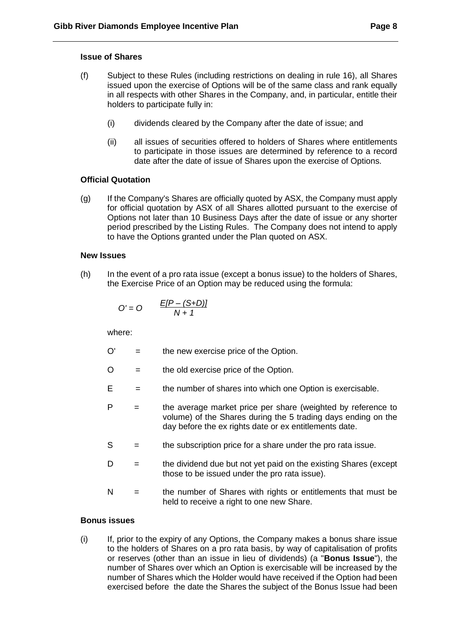#### **Issue of Shares**

- (f) Subject to these Rules (including restrictions on dealing in rule 16), all Shares issued upon the exercise of Options will be of the same class and rank equally in all respects with other Shares in the Company, and, in particular, entitle their holders to participate fully in:
	- (i) dividends cleared by the Company after the date of issue; and
	- (ii) all issues of securities offered to holders of Shares where entitlements to participate in those issues are determined by reference to a record date after the date of issue of Shares upon the exercise of Options.

## **Official Quotation**

(g) If the Company's Shares are officially quoted by ASX, the Company must apply for official quotation by ASX of all Shares allotted pursuant to the exercise of Options not later than 10 Business Days after the date of issue or any shorter period prescribed by the Listing Rules. The Company does not intend to apply to have the Options granted under the Plan quoted on ASX.

#### **New Issues**

(h) In the event of a pro rata issue (except a bonus issue) to the holders of Shares, the Exercise Price of an Option may be reduced using the formula:

$$
O'=O \qquad \frac{E[P-(S+D)]}{N+1}
$$

where:

- $O'$  = the new exercise price of the Option.
- $O =$  the old exercise price of the Option.
- $E =$  the number of shares into which one Option is exercisable.
- $P =$  the average market price per share (weighted by reference to volume) of the Shares during the 5 trading days ending on the day before the ex rights date or ex entitlements date.
- S = the subscription price for a share under the pro rata issue.
- $D =$  the dividend due but not yet paid on the existing Shares (except those to be issued under the pro rata issue).
- N = the number of Shares with rights or entitlements that must be held to receive a right to one new Share.

#### **Bonus issues**

(i) If, prior to the expiry of any Options, the Company makes a bonus share issue to the holders of Shares on a pro rata basis, by way of capitalisation of profits or reserves (other than an issue in lieu of dividends) (a "**Bonus Issue**"), the number of Shares over which an Option is exercisable will be increased by the number of Shares which the Holder would have received if the Option had been exercised before the date the Shares the subject of the Bonus Issue had been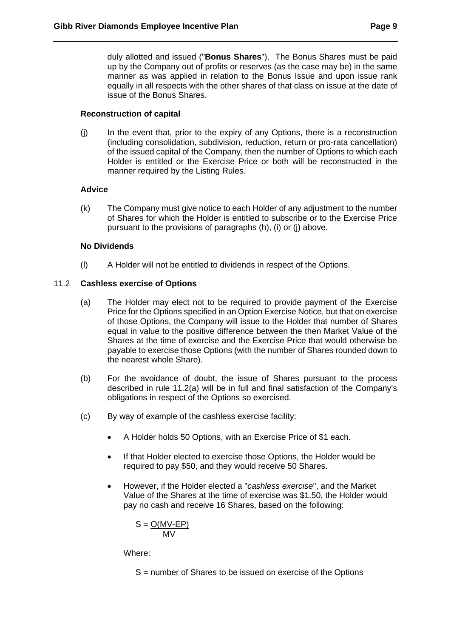duly allotted and issued ("**Bonus Shares**"). The Bonus Shares must be paid up by the Company out of profits or reserves (as the case may be) in the same manner as was applied in relation to the Bonus Issue and upon issue rank equally in all respects with the other shares of that class on issue at the date of issue of the Bonus Shares.

## **Reconstruction of capital**

(j) In the event that, prior to the expiry of any Options, there is a reconstruction (including consolidation, subdivision, reduction, return or pro-rata cancellation) of the issued capital of the Company, then the number of Options to which each Holder is entitled or the Exercise Price or both will be reconstructed in the manner required by the Listing Rules.

## **Advice**

(k) The Company must give notice to each Holder of any adjustment to the number of Shares for which the Holder is entitled to subscribe or to the Exercise Price pursuant to the provisions of paragraphs (h), (i) or (j) above.

## **No Dividends**

(l) A Holder will not be entitled to dividends in respect of the Options.

## 11.2 **Cashless exercise of Options**

- (a) The Holder may elect not to be required to provide payment of the Exercise Price for the Options specified in an Option Exercise Notice, but that on exercise of those Options, the Company will issue to the Holder that number of Shares equal in value to the positive difference between the then Market Value of the Shares at the time of exercise and the Exercise Price that would otherwise be payable to exercise those Options (with the number of Shares rounded down to the nearest whole Share).
- (b) For the avoidance of doubt, the issue of Shares pursuant to the process described in rule 11.2(a) will be in full and final satisfaction of the Company's obligations in respect of the Options so exercised.
- (c) By way of example of the cashless exercise facility:
	- A Holder holds 50 Options, with an Exercise Price of \$1 each.
	- If that Holder elected to exercise those Options, the Holder would be required to pay \$50, and they would receive 50 Shares.
	- However, if the Holder elected a "*cashless exercise*", and the Market Value of the Shares at the time of exercise was \$1.50, the Holder would pay no cash and receive 16 Shares, based on the following:

$$
S = \frac{O(MV-EP)}{MV}
$$

Where:

S = number of Shares to be issued on exercise of the Options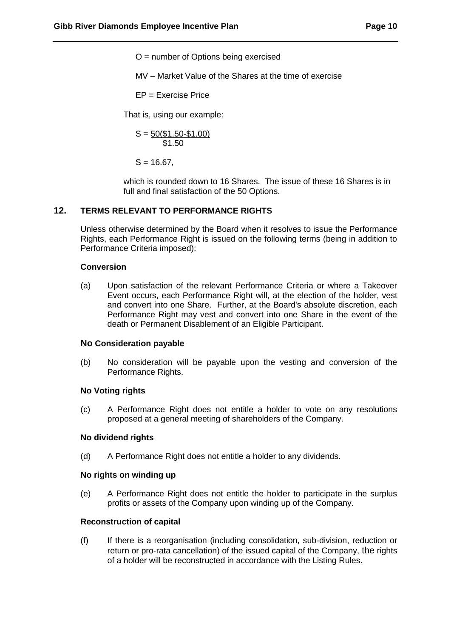O = number of Options being exercised

MV – Market Value of the Shares at the time of exercise

EP = Exercise Price

That is, using our example:

$$
S = \frac{50(\$1.50 - \$1.00)}{\$1.50}
$$

 $S = 16.67$ .

which is rounded down to 16 Shares. The issue of these 16 Shares is in full and final satisfaction of the 50 Options.

#### <span id="page-11-0"></span>**12. TERMS RELEVANT TO PERFORMANCE RIGHTS**

Unless otherwise determined by the Board when it resolves to issue the Performance Rights, each Performance Right is issued on the following terms (being in addition to Performance Criteria imposed):

#### **Conversion**

(a) Upon satisfaction of the relevant Performance Criteria or where a Takeover Event occurs, each Performance Right will, at the election of the holder, vest and convert into one Share. Further, at the Board's absolute discretion, each Performance Right may vest and convert into one Share in the event of the death or Permanent Disablement of an Eligible Participant.

#### **No Consideration payable**

(b) No consideration will be payable upon the vesting and conversion of the Performance Rights.

#### **No Voting rights**

(c) A Performance Right does not entitle a holder to vote on any resolutions proposed at a general meeting of shareholders of the Company.

#### **No dividend rights**

(d) A Performance Right does not entitle a holder to any dividends.

#### **No rights on winding up**

(e) A Performance Right does not entitle the holder to participate in the surplus profits or assets of the Company upon winding up of the Company.

#### **Reconstruction of capital**

(f) If there is a reorganisation (including consolidation, sub-division, reduction or return or pro-rata cancellation) of the issued capital of the Company, the rights of a holder will be reconstructed in accordance with the Listing Rules.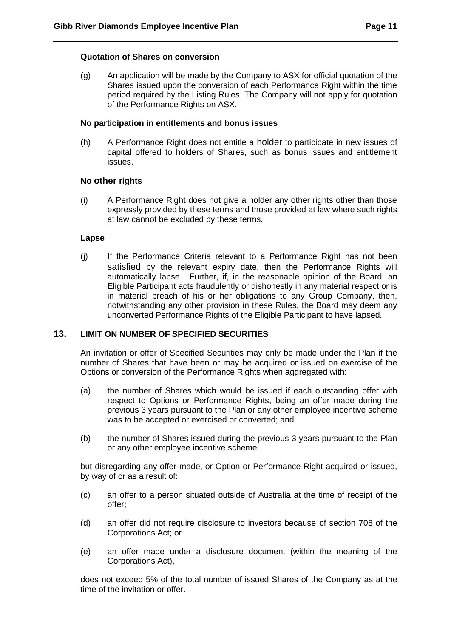## **Quotation of Shares on conversion**

(g) An application will be made by the Company to ASX for official quotation of the Shares issued upon the conversion of each Performance Right within the time period required by the Listing Rules. The Company will not apply for quotation of the Performance Rights on ASX.

#### **No participation in entitlements and bonus issues**

(h) A Performance Right does not entitle a holder to participate in new issues of capital offered to holders of Shares, such as bonus issues and entitlement issues.

#### **No other rights**

(i) A Performance Right does not give a holder any other rights other than those expressly provided by these terms and those provided at law where such rights at law cannot be excluded by these terms.

#### **Lapse**

<span id="page-12-0"></span>(j) If the Performance Criteria relevant to a Performance Right has not been satisfied by the relevant expiry date, then the Performance Rights will automatically lapse. Further, if, in the reasonable opinion of the Board, an Eligible Participant acts fraudulently or dishonestly in any material respect or is in material breach of his or her obligations to any Group Company, then, notwithstanding any other provision in these Rules, the Board may deem any unconverted Performance Rights of the Eligible Participant to have lapsed.

#### **13. LIMIT ON NUMBER OF SPECIFIED SECURITIES**

An invitation or offer of Specified Securities may only be made under the Plan if the number of Shares that have been or may be acquired or issued on exercise of the Options or conversion of the Performance Rights when aggregated with:

- (a) the number of Shares which would be issued if each outstanding offer with respect to Options or Performance Rights, being an offer made during the previous 3 years pursuant to the Plan or any other employee incentive scheme was to be accepted or exercised or converted; and
- (b) the number of Shares issued during the previous 3 years pursuant to the Plan or any other employee incentive scheme,

but disregarding any offer made, or Option or Performance Right acquired or issued, by way of or as a result of:

- (c) an offer to a person situated outside of Australia at the time of receipt of the offer;
- (d) an offer did not require disclosure to investors because of section 708 of the Corporations Act; or
- (e) an offer made under a disclosure document (within the meaning of the Corporations Act),

does not exceed 5% of the total number of issued Shares of the Company as at the time of the invitation or offer.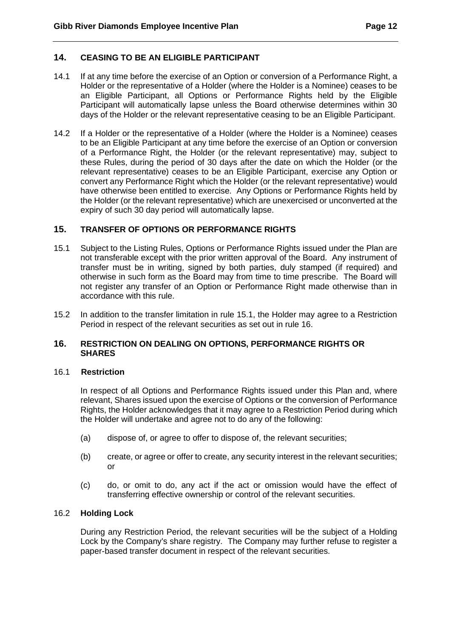## <span id="page-13-0"></span>**14. CEASING TO BE AN ELIGIBLE PARTICIPANT**

- 14.1 If at any time before the exercise of an Option or conversion of a Performance Right, a Holder or the representative of a Holder (where the Holder is a Nominee) ceases to be an Eligible Participant, all Options or Performance Rights held by the Eligible Participant will automatically lapse unless the Board otherwise determines within 30 days of the Holder or the relevant representative ceasing to be an Eligible Participant.
- 14.2 If a Holder or the representative of a Holder (where the Holder is a Nominee) ceases to be an Eligible Participant at any time before the exercise of an Option or conversion of a Performance Right, the Holder (or the relevant representative) may, subject to these Rules, during the period of 30 days after the date on which the Holder (or the relevant representative) ceases to be an Eligible Participant, exercise any Option or convert any Performance Right which the Holder (or the relevant representative) would have otherwise been entitled to exercise. Any Options or Performance Rights held by the Holder (or the relevant representative) which are unexercised or unconverted at the expiry of such 30 day period will automatically lapse.

## <span id="page-13-1"></span>**15. TRANSFER OF OPTIONS OR PERFORMANCE RIGHTS**

- 15.1 Subject to the Listing Rules, Options or Performance Rights issued under the Plan are not transferable except with the prior written approval of the Board. Any instrument of transfer must be in writing, signed by both parties, duly stamped (if required) and otherwise in such form as the Board may from time to time prescribe. The Board will not register any transfer of an Option or Performance Right made otherwise than in accordance with this rule.
- <span id="page-13-2"></span>15.2 In addition to the transfer limitation in rule 15.1, the Holder may agree to a Restriction Period in respect of the relevant securities as set out in rule 16.

### **16. RESTRICTION ON DEALING ON OPTIONS, PERFORMANCE RIGHTS OR SHARES**

#### 16.1 **Restriction**

In respect of all Options and Performance Rights issued under this Plan and, where relevant, Shares issued upon the exercise of Options or the conversion of Performance Rights, the Holder acknowledges that it may agree to a Restriction Period during which the Holder will undertake and agree not to do any of the following:

- (a) dispose of, or agree to offer to dispose of, the relevant securities;
- (b) create, or agree or offer to create, any security interest in the relevant securities; or
- (c) do, or omit to do, any act if the act or omission would have the effect of transferring effective ownership or control of the relevant securities.

#### 16.2 **Holding Lock**

During any Restriction Period, the relevant securities will be the subject of a Holding Lock by the Company's share registry. The Company may further refuse to register a paper-based transfer document in respect of the relevant securities.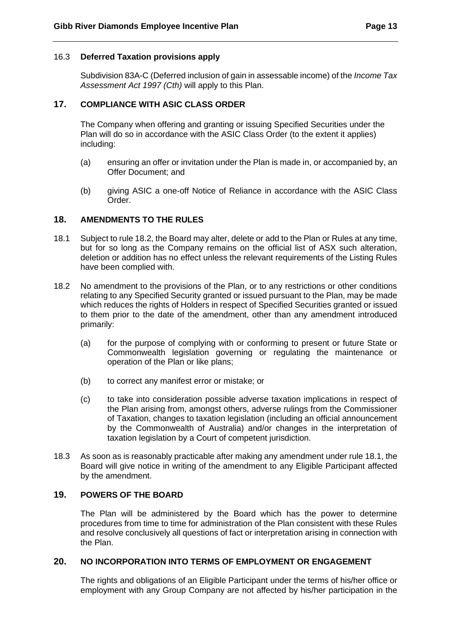#### <span id="page-14-0"></span>16.3 **Deferred Taxation provisions apply**

Subdivision 83A-C (Deferred inclusion of gain in assessable income) of the *Income Tax Assessment Act 1997 (Cth)* will apply to this Plan.

## **17. COMPLIANCE WITH ASIC CLASS ORDER**

The Company when offering and granting or issuing Specified Securities under the Plan will do so in accordance with the ASIC Class Order (to the extent it applies) including:

- <span id="page-14-1"></span>(a) ensuring an offer or invitation under the Plan is made in, or accompanied by, an Offer Document; and
- (b) giving ASIC a one-off Notice of Reliance in accordance with the ASIC Class Order.

## **18. AMENDMENTS TO THE RULES**

- 18.1 Subject to rule 18.2, the Board may alter, delete or add to the Plan or Rules at any time, but for so long as the Company remains on the official list of ASX such alteration, deletion or addition has no effect unless the relevant requirements of the Listing Rules have been complied with.
- 18.2 No amendment to the provisions of the Plan, or to any restrictions or other conditions relating to any Specified Security granted or issued pursuant to the Plan, may be made which reduces the rights of Holders in respect of Specified Securities granted or issued to them prior to the date of the amendment, other than any amendment introduced primarily:
	- (a) for the purpose of complying with or conforming to present or future State or Commonwealth legislation governing or regulating the maintenance or operation of the Plan or like plans;
	- (b) to correct any manifest error or mistake; or
	- (c) to take into consideration possible adverse taxation implications in respect of the Plan arising from, amongst others, adverse rulings from the Commissioner of Taxation, changes to taxation legislation (including an official announcement by the Commonwealth of Australia) and/or changes in the interpretation of taxation legislation by a Court of competent jurisdiction.
- <span id="page-14-2"></span>18.3 As soon as is reasonably practicable after making any amendment under rule 18.1, the Board will give notice in writing of the amendment to any Eligible Participant affected by the amendment.

## <span id="page-14-3"></span>**19. POWERS OF THE BOARD**

The Plan will be administered by the Board which has the power to determine procedures from time to time for administration of the Plan consistent with these Rules and resolve conclusively all questions of fact or interpretation arising in connection with the Plan.

## **20. NO INCORPORATION INTO TERMS OF EMPLOYMENT OR ENGAGEMENT**

The rights and obligations of an Eligible Participant under the terms of his/her office or employment with any Group Company are not affected by his/her participation in the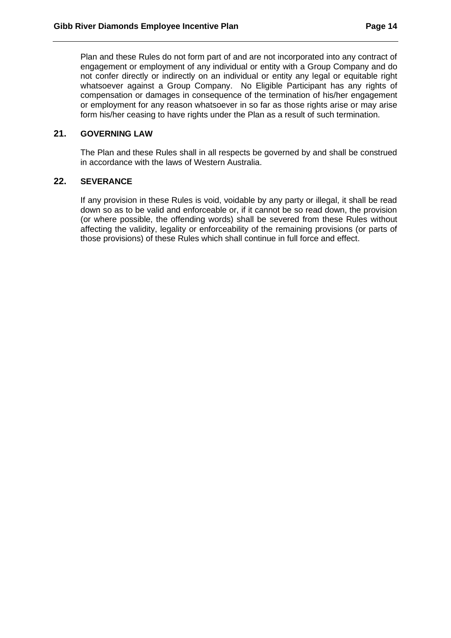<span id="page-15-0"></span>Plan and these Rules do not form part of and are not incorporated into any contract of engagement or employment of any individual or entity with a Group Company and do not confer directly or indirectly on an individual or entity any legal or equitable right whatsoever against a Group Company. No Eligible Participant has any rights of compensation or damages in consequence of the termination of his/her engagement or employment for any reason whatsoever in so far as those rights arise or may arise form his/her ceasing to have rights under the Plan as a result of such termination.

## <span id="page-15-1"></span>**21. GOVERNING LAW**

The Plan and these Rules shall in all respects be governed by and shall be construed in accordance with the laws of Western Australia.

## **22. SEVERANCE**

If any provision in these Rules is void, voidable by any party or illegal, it shall be read down so as to be valid and enforceable or, if it cannot be so read down, the provision (or where possible, the offending words) shall be severed from these Rules without affecting the validity, legality or enforceability of the remaining provisions (or parts of those provisions) of these Rules which shall continue in full force and effect.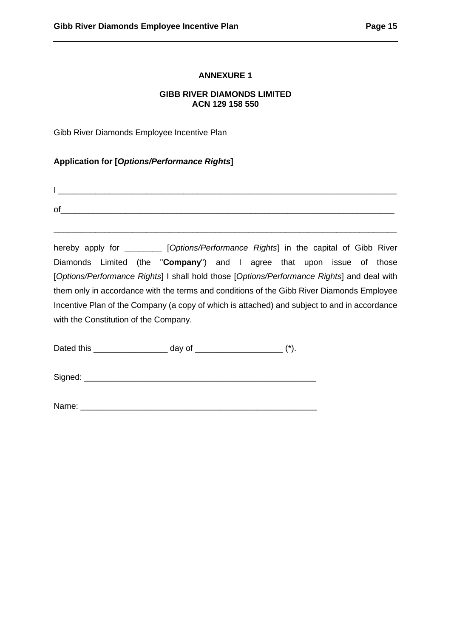## **ANNEXURE 1**

## **GIBB RIVER DIAMONDS LIMITED ACN 129 158 550**

<span id="page-16-1"></span><span id="page-16-0"></span>Gibb River Diamonds Employee Incentive Plan

## **Application for [***Options/Performance Rights***]**

of\_\_\_\_\_\_\_\_\_\_\_\_\_\_\_\_\_\_\_\_\_\_\_\_\_\_\_\_\_\_\_\_\_\_\_\_\_\_\_\_\_\_\_\_\_\_\_\_\_\_\_\_\_\_\_\_\_\_\_\_\_\_\_\_\_\_\_\_\_\_\_\_

hereby apply for \_\_\_\_\_\_\_\_ [*Options/Performance Rights*] in the capital of Gibb River Diamonds Limited (the "**Company**") and I agree that upon issue of those [*Options/Performance Rights*] I shall hold those [*Options/Performance Rights*] and deal with them only in accordance with the terms and conditions of the Gibb River Diamonds Employee Incentive Plan of the Company (a copy of which is attached) and subject to and in accordance with the Constitution of the Company.

\_\_\_\_\_\_\_\_\_\_\_\_\_\_\_\_\_\_\_\_\_\_\_\_\_\_\_\_\_\_\_\_\_\_\_\_\_\_\_\_\_\_\_\_\_\_\_\_\_\_\_\_\_\_\_\_\_\_\_\_\_\_\_\_\_\_\_\_\_\_\_\_\_\_

Dated this  $\qquad \qquad \qquad \text{day of} \qquad \qquad \qquad (*)$ .

I \_\_\_\_\_\_\_\_\_\_\_\_\_\_\_\_\_\_\_\_\_\_\_\_\_\_\_\_\_\_\_\_\_\_\_\_\_\_\_\_\_\_\_\_\_\_\_\_\_\_\_\_\_\_\_\_\_\_\_\_\_\_\_\_\_\_\_\_\_\_\_\_\_

Signed:  $\Box$ 

Name:  $\blacksquare$